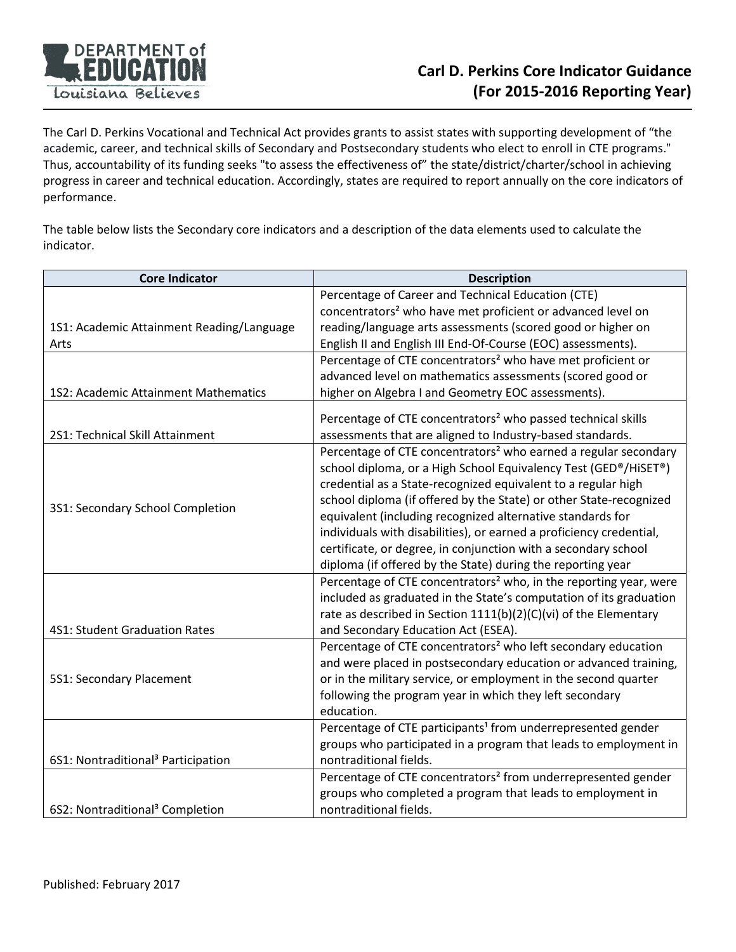

The Carl D. Perkins Vocational and Technical Act provides grants to assist states with supporting development of "the academic, career, and technical skills of Secondary and Postsecondary students who elect to enroll in CTE programs." Thus, accountability of its funding seeks "to assess the effectiveness of" the state/district/charter/school in achieving progress in career and technical education. Accordingly, states are required to report annually on the core indicators of performance.

The table below lists the Secondary core indicators and a description of the data elements used to calculate the indicator.

| <b>Core Indicator</b>                          | <b>Description</b>                                                            |  |
|------------------------------------------------|-------------------------------------------------------------------------------|--|
|                                                | Percentage of Career and Technical Education (CTE)                            |  |
|                                                | concentrators <sup>2</sup> who have met proficient or advanced level on       |  |
| 1S1: Academic Attainment Reading/Language      | reading/language arts assessments (scored good or higher on                   |  |
| Arts                                           | English II and English III End-Of-Course (EOC) assessments).                  |  |
|                                                | Percentage of CTE concentrators <sup>2</sup> who have met proficient or       |  |
|                                                | advanced level on mathematics assessments (scored good or                     |  |
| 1S2: Academic Attainment Mathematics           | higher on Algebra I and Geometry EOC assessments).                            |  |
|                                                | Percentage of CTE concentrators <sup>2</sup> who passed technical skills      |  |
| 2S1: Technical Skill Attainment                | assessments that are aligned to Industry-based standards.                     |  |
|                                                | Percentage of CTE concentrators <sup>2</sup> who earned a regular secondary   |  |
|                                                | school diploma, or a High School Equivalency Test (GED®/HiSET®)               |  |
|                                                | credential as a State-recognized equivalent to a regular high                 |  |
|                                                | school diploma (if offered by the State) or other State-recognized            |  |
| 3S1: Secondary School Completion               | equivalent (including recognized alternative standards for                    |  |
|                                                | individuals with disabilities), or earned a proficiency credential,           |  |
|                                                | certificate, or degree, in conjunction with a secondary school                |  |
|                                                | diploma (if offered by the State) during the reporting year                   |  |
|                                                | Percentage of CTE concentrators <sup>2</sup> who, in the reporting year, were |  |
|                                                | included as graduated in the State's computation of its graduation            |  |
|                                                | rate as described in Section 1111(b)(2)(C)(vi) of the Elementary              |  |
| 4S1: Student Graduation Rates                  | and Secondary Education Act (ESEA).                                           |  |
|                                                | Percentage of CTE concentrators <sup>2</sup> who left secondary education     |  |
|                                                | and were placed in postsecondary education or advanced training,              |  |
| 5S1: Secondary Placement                       | or in the military service, or employment in the second quarter               |  |
|                                                | following the program year in which they left secondary                       |  |
|                                                | education.                                                                    |  |
|                                                | Percentage of CTE participants <sup>1</sup> from underrepresented gender      |  |
|                                                | groups who participated in a program that leads to employment in              |  |
| 6S1: Nontraditional <sup>3</sup> Participation | nontraditional fields.                                                        |  |
|                                                | Percentage of CTE concentrators <sup>2</sup> from underrepresented gender     |  |
|                                                | groups who completed a program that leads to employment in                    |  |
| 6S2: Nontraditional <sup>3</sup> Completion    | nontraditional fields.                                                        |  |